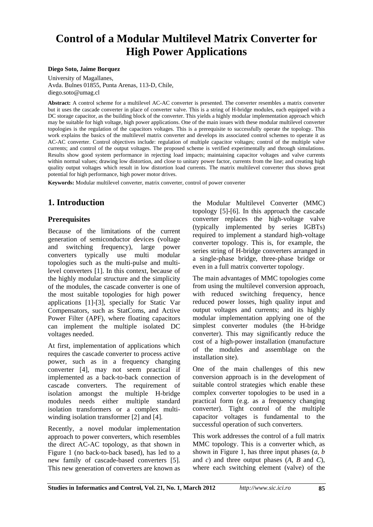# **Control of a Modular Multilevel Matrix Converter for High Power Applications**

#### **Diego Soto, Jaime Borquez**

University of Magallanes, Avda. Bulnes 01855, Punta Arenas, 113-D, Chile, diego.soto@umag.cl

**Abstract:** A control scheme for a multilevel AC-AC converter is presented. The converter resembles a matrix converter but it uses the cascade converter in place of converter valve. This is a string of H-bridge modules, each equipped with a DC storage capacitor, as the building block of the converter. This yields a highly modular implementation approach which may be suitable for high voltage, high power applications. One of the main issues with these modular multilevel converter topologies is the regulation of the capacitors voltages. This is a prerequisite to successfully operate the topology. This work explains the basics of the multilevel matrix converter and develops its associated control schemes to operate it as AC-AC converter. Control objectives include: regulation of multiple capacitor voltages; control of the multiple valve currents; and control of the output voltages. The proposed scheme is verified experimentally and through simulations. Results show good system performance in rejecting load impacts; maintaining capacitor voltages and valve currents within normal values; drawing low distortion, and close to unitary power factor, currents from the line; and creating high quality output voltages which result in low distortion load currents. The matrix multilevel converter thus shows great potential for high performance, high power motor drives.

**Keywords:** Modular multilevel converter, matrix converter, control of power converter

### **1. Introduction**

#### **Prerequisites**

Because of the limitations of the current generation of semiconductor devices (voltage and switching frequency), large power converters typically use multi modular topologies such as the multi-pulse and multilevel converters [1]. In this context, because of the highly modular structure and the simplicity of the modules, the cascade converter is one of the most suitable topologies for high power applications [1]-[3], specially for Static Var Compensators, such as StatComs, and Active Power Filter (APF), where floating capacitors can implement the multiple isolated DC voltages needed.

At first, implementation of applications which requires the cascade converter to process active power, such as in a frequency changing converter [4], may not seem practical if implemented as a back-to-back connection of cascade converters. The requirement of isolation amongst the multiple H-bridge modules needs either multiple standard isolation transformers or a complex multiwinding isolation transformer [2] and [4].

Recently, a novel modular implementation approach to power converters, which resembles the direct AC-AC topology, as that shown in Figure 1 (no back-to-back based), has led to a new family of cascade-based converters [5]. This new generation of converters are known as the Modular Multilevel Converter (MMC) topology [5]-[6]. In this approach the cascade converter replaces the high-voltage valve (typically implemented by series IGBTs) required to implement a standard high-voltage converter topology. This is, for example, the series string of H-bridge converters arranged in a single-phase bridge, three-phase bridge or even in a full matrix converter topology.

The main advantages of MMC topologies come from using the multilevel conversion approach, with reduced switching frequency, hence reduced power losses, high quality input and output voltages and currents; and its highly modular implementation applying one of the simplest converter modules (the H-bridge converter). This may significantly reduce the cost of a high-power installation (manufacture of the modules and assemblage on the installation site).

One of the main challenges of this new conversion approach is in the development of suitable control strategies which enable these complex converter topologies to be used in a practical form (e.g. as a frequency changing converter). Tight control of the multiple capacitor voltages is fundamental to the successful operation of such converters.

This work addresses the control of a full matrix MMC topology. This is a converter which, as shown in Figure 1, has three input phases (*a*, *b* and *c*) and three output phases (*A*, *B* and *C*), where each switching element (valve) of the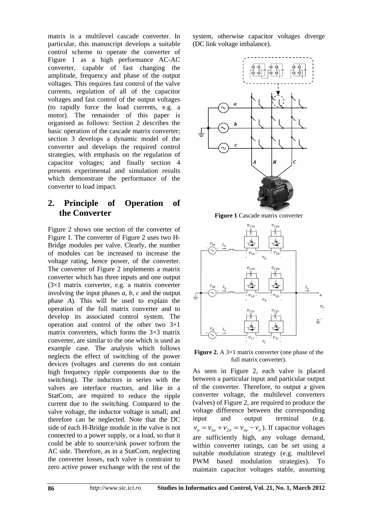matrix is a multilevel cascade converter. In particular, this manuscript develops a suitable control scheme to operate the converter of Figure 1 as a high performance AC-AC converter, capable of fast changing the amplitude, frequency and phase of the output voltages. This requires fast control of the valve currents, regulation of all of the capacitor voltages and fast control of the output voltages (to rapidly force the load currents, e.g. a motor). The remainder of this paper is organised as follows: Section 2 describes the basic operation of the cascade matrix converter; section 3 develops a dynamic model of the converter and develops the required control strategies, with emphasis on the regulation of capacitor voltages; and finally section 4 presents experimental and simulation results which demonstrate the performance of the converter to load impact.

#### **2. Principle of Operation of the Converter**

Figure 2 shows one section of the converter of Figure 1. The converter of Figure 2 uses two H-Bridge modules per valve. Clearly, the number of modules can be increased to increase the voltage rating, hence power, of the converter. The converter of Figure 2 implements a matrix converter which has three inputs and one output (3×1 matrix converter, e.g. a matrix converter involving the input phases *a*, *b*, *c* and the output phase *A*). This will be used to explain the operation of the full matrix converter and to develop its associated control system. The operation and control of the other two 3×1 matrix converters, which forms the  $3\times3$  matrix converter, are similar to the one which is used as example case. The analysis which follows neglects the effect of switching of the power devices (voltages and currents do not contain high frequency ripple components due to the switching). The inductors in series with the valves are interface reactors, and like in a StatCom, are required to reduce the ripple current due to the switching. Compared to the valve voltage, the inductor voltage is small; and therefore can be neglected. Note that the DC side of each H-Bridge module in the valve is not connected to a power supply, or a load, so that it could be able to source/sink power to/from the AC side. Therefore, as in a StatCom, neglecting the converter losses, each valve is constraint to zero active power exchange with the rest of the system, otherwise capacitor voltages diverge (DC link voltage imbalance).



**Figure 1** Cascade matrix converter



**Figure 2.** A 3×1 matrix converter (one phase of the full matrix converter).

As seen in Figure 2, each valve is placed between a particular input and particular output of the converter. Therefore, to output a given converter voltage, the multilevel converters (valves) of Figure 2, are required to produce the voltage difference between the corresponding input and output terminal (e.g.  $v_a = v_{1a} + v_{2a} = v_{sa} - v_o$ ). If capacitor voltages are sufficiently high, any voltage demand, within converter ratings, can be set using a suitable modulation strategy (e.g. multilevel PWM based modulation strategies). To maintain capacitor voltages stable, assuming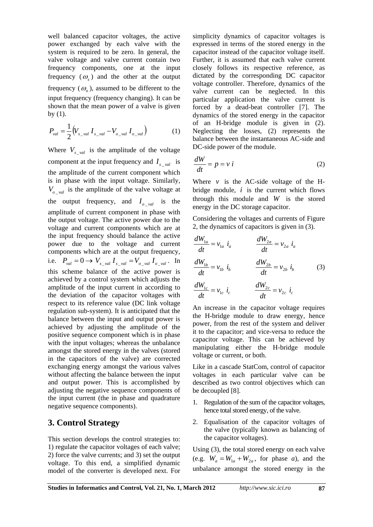well balanced capacitor voltages, the active power exchanged by each valve with the system is required to be zero. In general, the valve voltage and valve current contain two frequency components, one at the input frequency  $(\omega)$  and the other at the output frequency  $(\omega_a)$ , assumed to be different to the input frequency (frequency changing). It can be shown that the mean power of a valve is given by (1).

$$
P_{val} = \frac{1}{2} \left( V_{s_{val}} I_{s_{val}} - V_{o_{val}} I_{o_{val}} \right)
$$
 (1)

Where  $V_{s \text{val}}$  is the amplitude of the voltage component at the input frequency and  $I_{s \text{val}}$  is the amplitude of the current component which is in phase with the input voltage. Similarly,  $V_{\text{o}}$   $_{\text{val}}$  is the amplitude of the valve voltage at the output frequency, and  $I_{\rho \text{val}}$  is the amplitude of current component in phase with the output voltage. The active power due to the voltage and current components which are at the input frequency should balance the active power due to the voltage and current components which are at the output frequency, i.e.  $P_{val} = 0 \rightarrow V_{s_{val}} I_{s_{val}} = V_{o_{val}} I_{o_{val}}$ . In this scheme balance of the active power is achieved by a control system which adjusts the amplitude of the input current in according to the deviation of the capacitor voltages with respect to its reference value (DC link voltage regulation sub-system). It is anticipated that the balance between the input and output power is achieved by adjusting the amplitude of the positive sequence component which is in phase with the input voltages; whereas the unbalance amongst the stored energy in the valves (stored in the capacitors of the valve) are corrected exchanging energy amongst the various valves without affecting the balance between the input and output power. This is accomplished by adjusting the negative sequence components of the input current (the in phase and quadrature negative sequence components).

#### **3. Control Strategy**

This section develops the control strategies to: 1) regulate the capacitor voltages of each valve; 2) force the valve currents; and 3) set the output voltage. To this end, a simplified dynamic model of the converter is developed next. For simplicity dynamics of capacitor voltages is expressed in terms of the stored energy in the capacitor instead of the capacitor voltage itself. Further, it is assumed that each valve current closely follows its respective reference, as dictated by the corresponding DC capacitor voltage controller. Therefore, dynamics of the valve current can be neglected. In this particular application the valve current is forced by a dead-beat controller [7]. The dynamics of the stored energy in the capacitor of an H-bridge module is given in (2). Neglecting the losses, (2) represents the balance between the instantaneous AC-side and DC-side power of the module.

$$
\frac{dW}{dt} = p = v \, i \tag{2}
$$

Where  $\nu$  is the AC-side voltage of the Hbridge module, *i* is the current which flows through this module and *W* is the stored energy in the DC storage capacitor.

Considering the voltages and currents of Figure 2, the dynamics of capacitors is given in (3).

$$
\frac{dW_{1a}}{dt} = v_{1a} \quad i_a \qquad \qquad \frac{dW_{2a}}{dt} = v_{2a} \quad i_a
$$
\n
$$
\frac{dW_{1b}}{dt} = v_{1b} \quad i_b \qquad \qquad \frac{dW_{2b}}{dt} = v_{2b} \quad i_b \qquad (3)
$$
\n
$$
\frac{dW_{1c}}{dt} = u_{1b} \quad i_b \qquad \qquad \frac{dW_{2b}}{dt} = u_{2b} \quad i_b \qquad (4)
$$

$$
\frac{dW_{1c}}{dt} = v_{1c} \dot{i}_c \qquad \qquad \frac{dW_{2c}}{dt} = v_{2c} \dot{i}_c
$$

An increase in the capacitor voltage requires the H-bridge module to draw energy, hence power, from the rest of the system and deliver it to the capacitor; and vice-versa to reduce the capacitor voltage. This can be achieved by manipulating either the H-bridge module voltage or current, or both.

Like in a cascade StatCom, control of capacitor voltages in each particular valve can be described as two control objectives which can be decoupled [8].

- 1. Regulation of the sum of the capacitor voltages, hence total stored energy, of the valve.
- 2. Equalisation of the capacitor voltages of the valve (typically known as balancing of the capacitor voltages).

Using (3), the total stored energy on each valve (e.g.  $W_a = W_{1a} + W_{2a}$ , for phase *a*), and the unbalance amongst the stored energy in the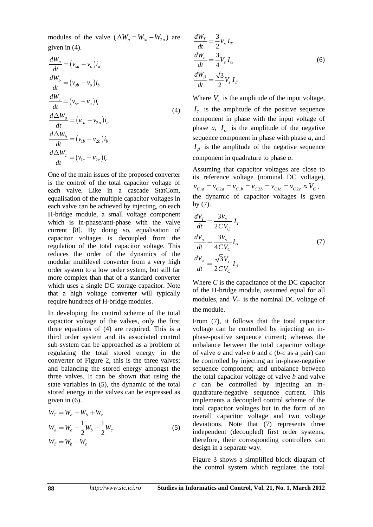modules of the valve ( $\Delta W_a = W_{1a} - W_{2a}$ ) are given in (4).

$$
\frac{dW_a}{dt} = (v_{sa} - v_o)i_a
$$
\n
$$
\frac{dW_b}{dt} = (v_{sb} - v_o)i_b
$$
\n
$$
\frac{dW_c}{dt} = (v_{sc} - v_o)i_c
$$
\n
$$
\frac{d\Delta W_a}{dt} = (v_{1a} - v_{2a})i_a
$$
\n
$$
\frac{d\Delta W_b}{dt} = (v_{1b} - v_{2b})i_b
$$
\n
$$
\frac{d\Delta W_c}{dt} = (v_{1c} - v_{2c})i_c
$$

One of the main issues of the proposed converter is the control of the total capacitor voltage of each valve. Like in a cascade StatCom, equalisation of the multiple capacitor voltages in each valve can be achieved by injecting, on each H-bridge module, a small voltage component which is in-phase/anti-phase with the valve current [8]. By doing so, equalisation of capacitor voltages is decoupled from the regulation of the total capacitor voltage. This reduces the order of the dynamics of the modular multilevel converter from a very high order system to a low order system, but still far more complex than that of a standard converter which uses a single DC storage capacitor. Note that a high voltage converter will typically require hundreds of H-bridge modules.

In developing the control scheme of the total capacitor voltage of the valves, only the first three equations of (4) are required. This is a third order system and its associated control sub-system can be approached as a problem of regulating the total stored energy in the converter of Figure 2, this is the three valves; and balancing the stored energy amongst the three valves. It can be shown that using the state variables in (5), the dynamic of the total stored energy in the valves can be expressed as given in (6).

$$
W_T = W_a + W_b + W_c
$$
  
\n
$$
W_{\alpha} = W_a - \frac{1}{2}W_b - \frac{1}{2}W_c
$$
  
\n
$$
W_{\beta} = W_b - W_c
$$
\n(5)

$$
\frac{dW_T}{dt} = \frac{3}{2} V_s I_T
$$
  
\n
$$
\frac{dW_\alpha}{dt} = \frac{3}{4} V_s I_\alpha
$$
  
\n
$$
\frac{dW_\beta}{dt} = \frac{\sqrt{3}}{2} V_s I_\beta
$$
\n(6)

Where  $V_s$  is the amplitude of the input voltage,  $I<sub>T</sub>$  is the amplitude of the positive sequence component in phase with the input voltage of phase  $a, I_{\alpha}$  is the amplitude of the negative sequence component in phase with phase *a*, and  $I<sub>g</sub>$  is the amplitude of the negative sequence component in quadrature to phase *a*.

Assuming that capacitor voltages are close to its reference voltage (nominal DC voltage),  $v_{C1a} = v_{C2a} = v_{C1b} = v_{C2b} = v_{C1c} = v_{C2c} \approx V_C$ , the dynamic of capacitor voltages is given by (7).

$$
\frac{dV_T}{dt} = \frac{3V_s}{2CV_C} I_T
$$
  
\n
$$
\frac{dV_\alpha}{dt} = \frac{3V_s}{4CV_C} I_\alpha
$$
  
\n
$$
\frac{dV_\beta}{dt} = \frac{\sqrt{3}V_s}{2CV_C} I_\beta
$$
\n(7)

Where *C* is the capacitance of the DC capacitor of the H-bridge module, assumed equal for all modules, and  $V_c$  is the nominal DC voltage of the module.

From (7), it follows that the total capacitor voltage can be controlled by injecting an inphase-positive sequence current; whereas the unbalance between the total capacitor voltage of valve *a* and valve *b* and *c* (*b*-*c* as a pair) can be controlled by injecting an in-phase-negative sequence component; and unbalance between the total capacitor voltage of valve *b* and valve *c* can be controlled by injecting an inquadrature-negative sequence current. This implements a decoupled control scheme of the total capacitor voltages but in the form of an overall capacitor voltage and two voltage deviations. Note that (7) represents three independent (decoupled) first order systems, therefore, their corresponding controllers can design in a separate way.

Figure 3 shows a simplified block diagram of the control system which regulates the total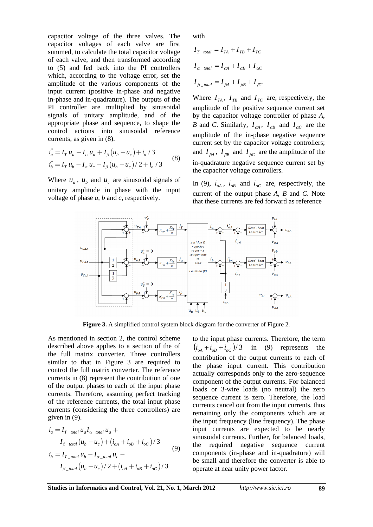capacitor voltage of the three valves. The capacitor voltages of each valve are first summed, to calculate the total capacitor voltage of each valve, and then transformed according to (5) and fed back into the PI controllers which, according to the voltage error, set the amplitude of the various components of the input current (positive in-phase and negative in-phase and in-quadrature). The outputs of the PI controller are multiplied by sinusoidal signals of unitary amplitude, and of the appropriate phase and sequence, to shape the control actions into sinusoidal reference currents, as given in (8).

$$
\begin{aligned}\ni_a^* &= I_T \, u_a - I_\alpha \, u_a + I_\beta \left( u_b - u_c \right) + i_o \, / \, 3 \\
i_b^* &= I_T \, u_b - I_\alpha \, u_c - I_\beta \left( u_b - u_c \right) \, / \, 2 + i_o \, / \, 3\n\end{aligned}\n\tag{8}
$$

Where  $u_a$ ,  $u_b$  and  $u_c$  are sinusoidal signals of unitary amplitude in phase with the input voltage of phase *a*, *b* and *c*, respectively.

with

$$
I_{T_{total}} = I_{TA} + I_{TB} + I_{TC}
$$
  
\n
$$
I_{\alpha_{total}} = I_{\alpha A} + I_{\alpha B} + I_{\alpha C}
$$
  
\n
$$
I_{\beta_{total}} = I_{\beta A} + I_{\beta B} + I_{\beta C}
$$

Where  $I_{TA}$ ,  $I_{TB}$  and  $I_{TC}$  are, respectively, the amplitude of the positive sequence current set by the capacitor voltage controller of phase *A*, *B* and *C*. Similarly,  $I_{\alpha A}$ ,  $I_{\alpha B}$  and  $I_{\alpha C}$  are the amplitude of the in-phase negative sequence current set by the capacitor voltage controllers; and  $I_{BA}$ ,  $I_{BB}$  and  $I_{BC}$  are the amplitude of the in-quadrature negative sequence current set by the capacitor voltage controllers.

In (9),  $i_{oA}$ ,  $i_{oB}$  and  $i_{oC}$  are, respectively, the current of the output phase *A*, *B* and *C*. Note that these currents are fed forward as reference



**Figure 3.** A simplified control system block diagram for the converter of Figure 2.

As mentioned in section 2, the control scheme described above applies to a section of the of the full matrix converter. Three controllers similar to that in Figure 3 are required to control the full matrix converter. The reference currents in (8) represent the contribution of one of the output phases to each of the input phase currents. Therefore, assuming perfect tracking of the reference currents, the total input phase currents (considering the three controllers) are given in (9).

$$
i_{a} = I_{T_{total}} u_{a} I_{\alpha_{total}} u_{a} +
$$
  
\n
$$
I_{\beta_{total}} (u_{b} - u_{c}) + (i_{oA} + i_{oB} + i_{oC}) / 3
$$
  
\n
$$
i_{b} = I_{T_{total}} u_{b} - I_{\alpha_{total}} u_{c} -
$$
  
\n
$$
I_{\beta_{total}} (u_{b} - u_{c}) / 2 + (i_{oA} + i_{oB} + i_{oC}) / 3
$$
\n(9)

to the input phase currents. Therefore, the term  $(i_{oA} + i_{oB} + i_{oC})/3$  in (9) represents the contribution of the output currents to each of the phase input current. This contribution actually corresponds only to the zero-sequence component of the output currents. For balanced loads or 3-wire loads (no neutral) the zero sequence current is zero. Therefore, the load currents cancel out from the input currents, thus remaining only the components which are at the input frequency (line frequency). The phase input currents are expected to be nearly sinusoidal currents. Further, for balanced loads, the required negative sequence current components (in-phase and in-quadrature) will be small and therefore the converter is able to operate at near unity power factor.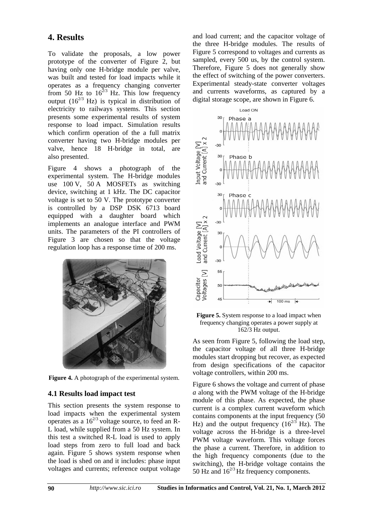### **4. Results**

To validate the proposals, a low power prototype of the converter of Figure 2, but having only one H-bridge module per valve, was built and tested for load impacts while it operates as a frequency changing converter from 50 Hz to  $16^{2/3}$  Hz. This low frequency output  $(16^{2/3}$  Hz) is typical in distribution of electricity to railways systems. This section presents some experimental results of system response to load impact. Simulation results which confirm operation of the a full matrix converter having two H-bridge modules per valve, hence 18 H-bridge in total, are also presented.

Figure 4 shows a photograph of the experimental system. The H-bridge modules use 100 V, 50 A MOSFETs as switching device, switching at 1 kHz. The DC capacitor voltage is set to 50 V. The prototype converter is controlled by a DSP DSK 6713 board equipped with a daughter board which implements an analogue interface and PWM units. The parameters of the PI controllers of Figure 3 are chosen so that the voltage regulation loop has a response time of 200 ms.



**Figure 4.** A photograph of the experimental system.

#### **4.1 Results load impact test**

This section presents the system response to load impacts when the experimental system operates as a  $16^{2/3}$  voltage source, to feed an R-L load, while supplied from a 50 Hz system. In this test a switched R-L load is used to apply load steps from zero to full load and back again. Figure 5 shows system response when the load is shed on and it includes: phase input voltages and currents; reference output voltage

and load current; and the capacitor voltage of the three H-bridge modules. The results of Figure 5 correspond to voltages and currents as sampled, every 500 us, by the control system. Therefore, Figure 5 does not generally show the effect of switching of the power converters. Experimental steady-state converter voltages and currents waveforms, as captured by a digital storage scope, are shown in Figure 6.



**Figure 5.** System response to a load impact when frequency changing operates a power supply at 162/3 Hz output.

As seen from Figure 5, following the load step, the capacitor voltage of all three H-bridge modules start dropping but recover, as expected from design specifications of the capacitor voltage controllers, within 200 ms.

Figure 6 shows the voltage and current of phase *a* along with the PWM voltage of the H-bridge module of this phase. As expected, the phase current is a complex current waveform which contains components at the input frequency (50 Hz) and the output frequency  $(16^{2/3}$  Hz). The voltage across the H-bridge is a three-level PWM voltage waveform. This voltage forces the phase a current. Therefore, in addition to the high frequency components (due to the switching), the H-bridge voltage contains the 50 Hz and  $16^{2/3}$  Hz frequency components.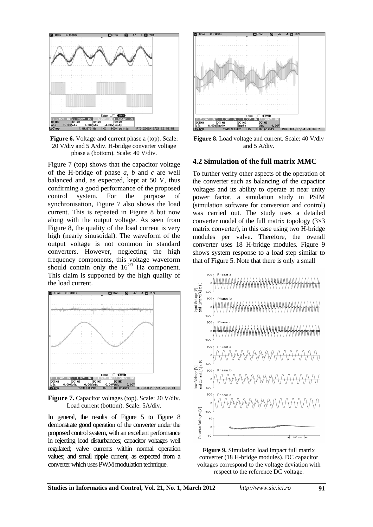

**Figure 6.** Voltage and current phase a (top). Scale: 20 V/div and 5 A/div. H-bridge converter voltage phase a (bottom). Scale: 40 V/div.

Figure 7 (top) shows that the capacitor voltage of the H-bridge of phase *a*, *b* and *c* are well balanced and, as expected, kept at 50 V, thus confirming a good performance of the proposed control system. For the purpose of synchronisation, Figure 7 also shows the load current. This is repeated in Figure 8 but now along with the output voltage. As seen from Figure 8, the quality of the load current is very high (nearly sinusoidal). The waveform of the output voltage is not common in standard converters. However, neglecting the high frequency components, this voltage waveform should contain only the  $16^{2/3}$  Hz component. This claim is supported by the high quality of the load current.



**Figure 7.** Capacitor voltages (top). Scale: 20 V/div. Load current (bottom). Scale: 5A/div.

In general, the results of Figure 5 to Figure 8 demonstrate good operation of the converter under the proposed control system, with an excellent performance in rejecting load disturbances; capacitor voltages well regulated; valve currents within normal operation values; and small ripple current, as expected from a converter which uses PWM modulation technique.



**Figure 8.** Load voltage and current. Scale: 40 V/div and 5 A/div.

#### **4.2 Simulation of the full matrix MMC**

To further verify other aspects of the operation of the converter such as balancing of the capacitor voltages and its ability to operate at near unity power factor, a simulation study in PSIM (simulation software for conversion and control) was carried out. The study uses a detailed converter model of the full matrix topology  $(3\times3)$ matrix converter), in this case using two H-bridge modules per valve. Therefore, the overall converter uses 18 H-bridge modules. Figure 9 shows system response to a load step similar to that of Figure 5. Note that there is only a small



**Figure 9.** Simulation load impact full matrix converter (18 H-bridge modules). DC capacitor voltages correspond to the voltage deviation with respect to the reference DC voltage.